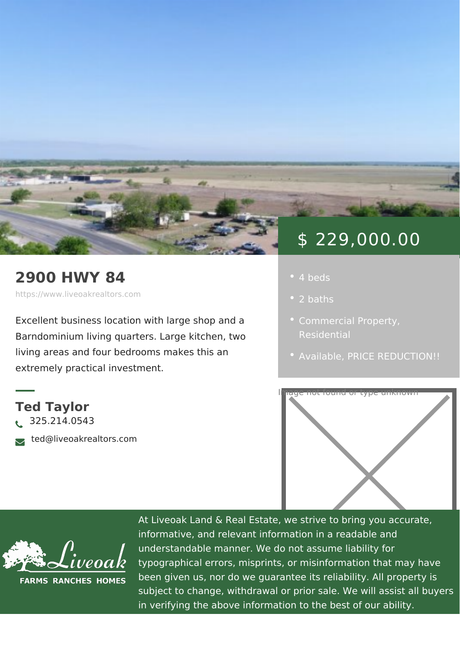## 2900 HWY 84

https://www.liveoakrealtors.com

Excellent business location with large s Barndominium living quarters. Large kit living areas and four bedrooms makes t extremely practical investment.

Ted Taylor ð• 325.214.0543 ðà ted@liveoakrealtors.com

## \$ 229,000.00

- 
- 2 baths
- 
- [Availa](https://www.liveoakrealtors.com/es_status/available/)b PeRICE REDUCTIO



At Liveoak Land & Real Estate, we strive to brin informative, and relevant information in a reada understandable manner. We do not assume liabil typographical errors, misprints, or misinformatic been given us, nor do we guarantee its reliabilit subject to change, withdrawal or prior sale. We in verifying the above information to the best of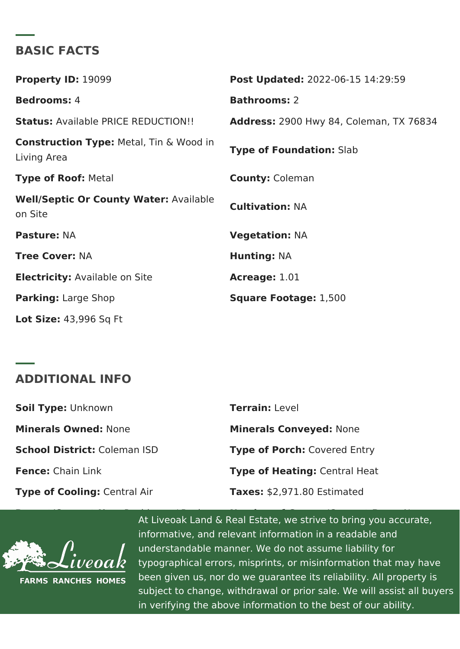## BASIC FACTS

Property ID: 9099 Post Update 022-06-15 14:29:59 Bedrooms4 Bathrooms2 StatusAvailabP&ICE REDUCTION! Address 2900 Hwy 84, Coleman, TX Construction TypMee: tal, Tin & Wood in Living Area Type of Foundati**8ha**b Type of RooMetal County: Coleman Well/Septic Or County Watertable<br>CultivationNA on Site PastureNA VegetationNA Tree CoveN:A Hunting NA Electricit Available on Site Acreage1.01 Parking Large Shop Square Footagle,:500 Lot Size4:3,996 Sq Ft

## ADDITIONAL INFO

| Soil TypeLnknown           | TerrainLevel                |
|----------------------------|-----------------------------|
| Minerals OwneMone          | Minerals Convey Nothe       |
| School Districtaleman ISD  | Type of PorcChovered Entry  |
| Fence Chain Link           | Type of HeatinQuentral Heat |
| Type of CoolinCgentral Air | Taxes\$2,971.80 Estimated   |

Recent/Current / Business At Liveoak Land & Real Estate, we strive to bring you accurate of  $\overline{\mathcal{R}}$ informative, and relevant information in a readal  $\overline{\phantom{a}}$ understandable manner. We do not assume liabil typographical errors, misprints, or misinformatic been given us, nor do we guarantee its reliabilit subject to change, withdrawal or prior sale. We in verifying the above information to the best of